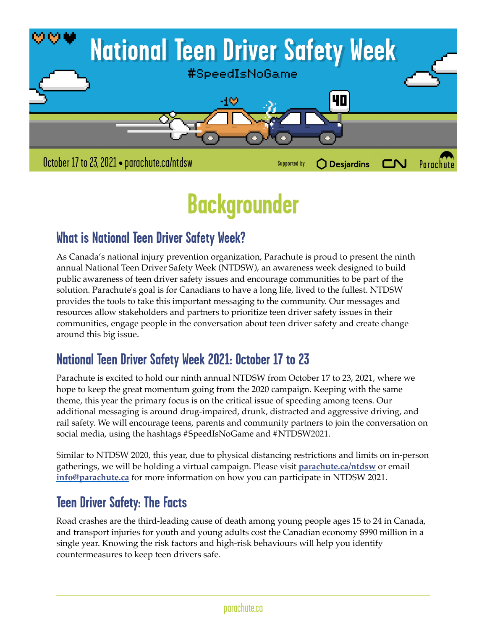

# **Backgrounder**

## **What is National Teen Driver Safety Week?**

As Canada's national injury prevention organization, Parachute is proud to present the ninth annual National Teen Driver Safety Week (NTDSW), an awareness week designed to build public awareness of teen driver safety issues and encourage communities to be part of the solution. Parachute's goal is for Canadians to have a long life, lived to the fullest. NTDSW provides the tools to take this important messaging to the community. Our messages and resources allow stakeholders and partners to prioritize teen driver safety issues in their communities, engage people in the conversation about teen driver safety and create change around this big issue.

## **National Teen Driver Safety Week 2021: October 17 to 23**

Parachute is excited to hold our ninth annual NTDSW from October 17 to 23, 2021, where we hope to keep the great momentum going from the 2020 campaign. Keeping with the same theme, this year the primary focus is on the critical issue of speeding among teens. Our additional messaging is around drug-impaired, drunk, distracted and aggressive driving, and rail safety. We will encourage teens, parents and community partners to join the conversation on social media, using the hashtags #SpeedIsNoGame and #NTDSW2021.

Similar to NTDSW 2020, this year, due to physical distancing restrictions and limits on in-person gatherings, we will be holding a virtual campaign. Please visit **[parachute.ca/ntdsw](http://parachute.ca/ntdsw)** or email **[info@parachute.ca](mailto:info@parachute.ca)** for more information on how you can participate in NTDSW 2021.

## **Teen Driver Safety: The Facts**

Road crashes are the third-leading cause of death among young people ages 15 to 24 in Canada, and transport injuries for youth and young adults cost the Canadian economy \$990 million in a single year. Knowing the risk factors and high-risk behaviours will help you identify countermeasures to keep teen drivers safe.